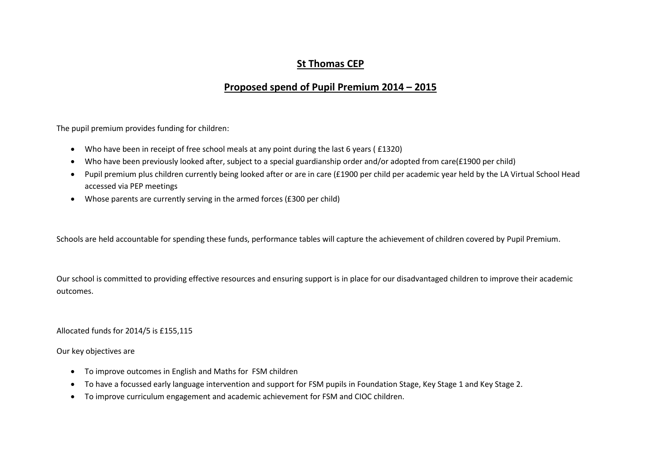## **St Thomas CEP**

## **Proposed spend of Pupil Premium 2014 – 2015**

The pupil premium provides funding for children:

- Who have been in receipt of free school meals at any point during the last 6 years ( £1320)
- Who have been previously looked after, subject to a special guardianship order and/or adopted from care(£1900 per child)
- Pupil premium plus children currently being looked after or are in care (£1900 per child per academic year held by the LA Virtual School Head accessed via PEP meetings
- Whose parents are currently serving in the armed forces (£300 per child)

Schools are held accountable for spending these funds, performance tables will capture the achievement of children covered by Pupil Premium.

Our school is committed to providing effective resources and ensuring support is in place for our disadvantaged children to improve their academic outcomes.

Allocated funds for 2014/5 is £155,115

Our key objectives are

- To improve outcomes in English and Maths for FSM children
- To have a focussed early language intervention and support for FSM pupils in Foundation Stage, Key Stage 1 and Key Stage 2.
- To improve curriculum engagement and academic achievement for FSM and CIOC children.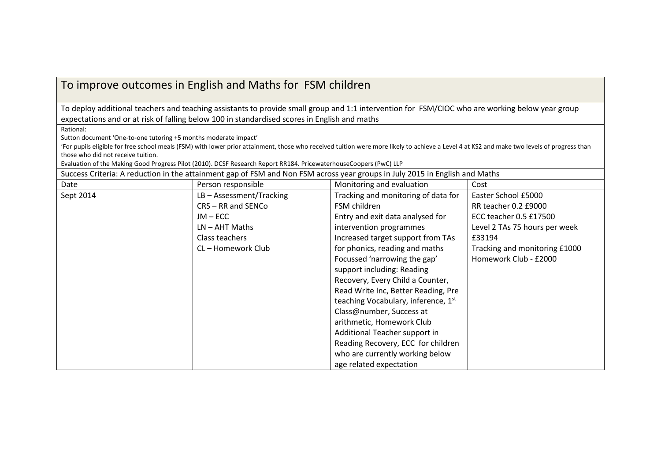## To improve outcomes in English and Maths for FSM children

To deploy additional teachers and teaching assistants to provide small group and 1:1 intervention for FSM/CIOC who are working below year group expectations and or at risk of falling below 100 in standardised scores in English and maths

Rational:

Sutton document 'One-to-one tutoring +5 months moderate impact'

'For pupils eligible for free school meals (FSM) with lower prior attainment, those who received tuition were more likely to achieve a Level 4 at KS2 and make two levels of progress than those who did not receive tuition.

Evaluation of the Making Good Progress Pilot (2010). DCSF Research Report RR184. PricewaterhouseCoopers (PwC) LLP

Success Criteria: A reduction in the attainment gap of FSM and Non FSM across year groups in July 2015 in English and Maths

| Date      | Person responsible         | Monitoring and evaluation           | Cost                          |
|-----------|----------------------------|-------------------------------------|-------------------------------|
| Sept 2014 | $LB - Assessment/Tracking$ | Tracking and monitoring of data for | Easter School £5000           |
|           | CRS-RR and SENCo           | FSM children                        | RR teacher 0.2 £9000          |
|           | $JM - ECC$                 | Entry and exit data analysed for    | ECC teacher 0.5 £17500        |
|           | $LN - AHT$ Maths           | intervention programmes             | Level 2 TAs 75 hours per week |
|           | Class teachers             | Increased target support from TAs   | £33194                        |
|           | CL - Homework Club         | for phonics, reading and maths      | Tracking and monitoring £1000 |
|           |                            | Focussed 'narrowing the gap'        | Homework Club - £2000         |
|           |                            | support including: Reading          |                               |
|           |                            | Recovery, Every Child a Counter,    |                               |
|           |                            | Read Write Inc, Better Reading, Pre |                               |
|           |                            | teaching Vocabulary, inference, 1st |                               |
|           |                            | Class@number, Success at            |                               |
|           |                            | arithmetic, Homework Club           |                               |
|           |                            | Additional Teacher support in       |                               |
|           |                            | Reading Recovery, ECC for children  |                               |
|           |                            | who are currently working below     |                               |
|           |                            | age related expectation             |                               |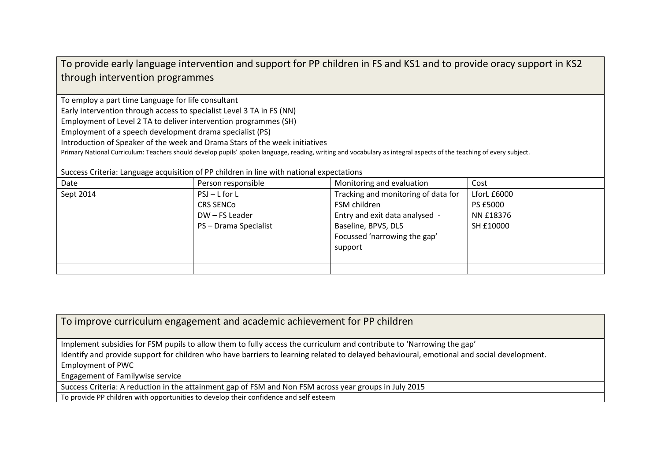| To provide early language intervention and support for PP children in FS and KS1 and to provide oracy support in KS2                                                |                                                                             |                                     |               |  |  |  |
|---------------------------------------------------------------------------------------------------------------------------------------------------------------------|-----------------------------------------------------------------------------|-------------------------------------|---------------|--|--|--|
| through intervention programmes                                                                                                                                     |                                                                             |                                     |               |  |  |  |
|                                                                                                                                                                     |                                                                             |                                     |               |  |  |  |
| To employ a part time Language for life consultant                                                                                                                  |                                                                             |                                     |               |  |  |  |
| Early intervention through access to specialist Level 3 TA in FS (NN)                                                                                               |                                                                             |                                     |               |  |  |  |
| Employment of Level 2 TA to deliver intervention programmes (SH)                                                                                                    |                                                                             |                                     |               |  |  |  |
| Employment of a speech development drama specialist (PS)                                                                                                            |                                                                             |                                     |               |  |  |  |
|                                                                                                                                                                     | Introduction of Speaker of the week and Drama Stars of the week initiatives |                                     |               |  |  |  |
| Primary National Curriculum: Teachers should develop pupils' spoken language, reading, writing and vocabulary as integral aspects of the teaching of every subject. |                                                                             |                                     |               |  |  |  |
| Success Criteria: Language acquisition of PP children in line with national expectations                                                                            |                                                                             |                                     |               |  |  |  |
| Date                                                                                                                                                                | Person responsible                                                          | Monitoring and evaluation           | Cost          |  |  |  |
| Sept 2014                                                                                                                                                           | $PSJ - L$ for L                                                             | Tracking and monitoring of data for | LforL $£6000$ |  |  |  |
|                                                                                                                                                                     | <b>CRS SENCO</b>                                                            | FSM children                        | PS £5000      |  |  |  |
|                                                                                                                                                                     | DW - FS Leader                                                              | Entry and exit data analysed -      | NN £18376     |  |  |  |
|                                                                                                                                                                     | PS - Drama Specialist                                                       | Baseline, BPVS, DLS                 | SH £10000     |  |  |  |
|                                                                                                                                                                     |                                                                             | Focussed 'narrowing the gap'        |               |  |  |  |
|                                                                                                                                                                     |                                                                             | support                             |               |  |  |  |
|                                                                                                                                                                     |                                                                             |                                     |               |  |  |  |
|                                                                                                                                                                     |                                                                             |                                     |               |  |  |  |

To improve curriculum engagement and academic achievement for PP children

Implement subsidies for FSM pupils to allow them to fully access the curriculum and contribute to 'Narrowing the gap'

Identify and provide support for children who have barriers to learning related to delayed behavioural, emotional and social development.

Employment of PWC

Engagement of Familywise service

Success Criteria: A reduction in the attainment gap of FSM and Non FSM across year groups in July 2015

To provide PP children with opportunities to develop their confidence and self esteem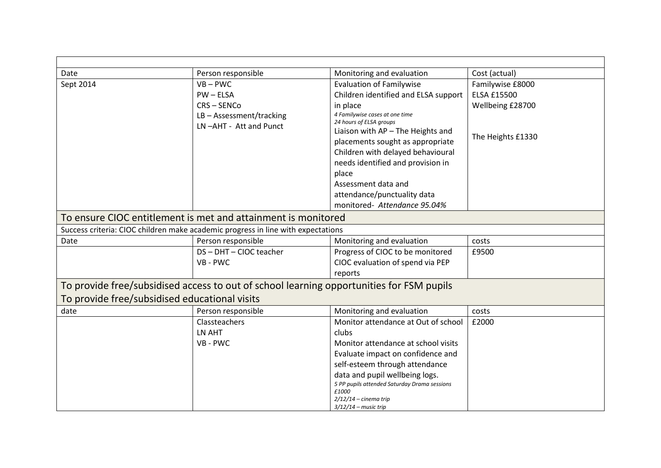| Date                                          | Person responsible                                                                       | Monitoring and evaluation                                 | Cost (actual)      |  |  |
|-----------------------------------------------|------------------------------------------------------------------------------------------|-----------------------------------------------------------|--------------------|--|--|
| Sept 2014                                     | $VB - PWC$                                                                               | <b>Evaluation of Familywise</b>                           | Familywise £8000   |  |  |
|                                               | $PW - ELSA$                                                                              | Children identified and ELSA support                      | <b>ELSA £15500</b> |  |  |
|                                               | CRS-SENCo                                                                                | in place                                                  | Wellbeing £28700   |  |  |
|                                               | LB-Assessment/tracking                                                                   | 4 Familywise cases at one time<br>24 hours of ELSA groups |                    |  |  |
|                                               | LN-AHT - Att and Punct                                                                   | Liaison with AP - The Heights and                         |                    |  |  |
|                                               |                                                                                          | placements sought as appropriate                          | The Heights £1330  |  |  |
|                                               |                                                                                          | Children with delayed behavioural                         |                    |  |  |
|                                               |                                                                                          | needs identified and provision in                         |                    |  |  |
|                                               |                                                                                          | place                                                     |                    |  |  |
|                                               |                                                                                          | Assessment data and                                       |                    |  |  |
|                                               |                                                                                          | attendance/punctuality data                               |                    |  |  |
|                                               |                                                                                          | monitored- Attendance 95.04%                              |                    |  |  |
|                                               | To ensure CIOC entitlement is met and attainment is monitored                            |                                                           |                    |  |  |
|                                               | Success criteria: CIOC children make academic progress in line with expectations         |                                                           |                    |  |  |
| Date                                          | Person responsible                                                                       | Monitoring and evaluation                                 | costs              |  |  |
|                                               | DS-DHT-CIOC teacher                                                                      | Progress of CIOC to be monitored                          | £9500              |  |  |
|                                               | VB - PWC                                                                                 | CIOC evaluation of spend via PEP                          |                    |  |  |
|                                               |                                                                                          | reports                                                   |                    |  |  |
|                                               | To provide free/subsidised access to out of school learning opportunities for FSM pupils |                                                           |                    |  |  |
| To provide free/subsidised educational visits |                                                                                          |                                                           |                    |  |  |
| date                                          | Person responsible                                                                       | Monitoring and evaluation                                 | costs              |  |  |
|                                               | Classteachers                                                                            | Monitor attendance at Out of school                       | £2000              |  |  |
|                                               | LN AHT                                                                                   | clubs                                                     |                    |  |  |
|                                               | VB - PWC                                                                                 | Monitor attendance at school visits                       |                    |  |  |
|                                               |                                                                                          | Evaluate impact on confidence and                         |                    |  |  |
|                                               |                                                                                          | self-esteem through attendance                            |                    |  |  |
|                                               |                                                                                          | data and pupil wellbeing logs.                            |                    |  |  |
|                                               |                                                                                          | 5 PP pupils attended Saturday Drama sessions<br>£1000     |                    |  |  |
|                                               |                                                                                          | $2/12/14$ - cinema trip                                   |                    |  |  |
|                                               |                                                                                          | $3/12/14$ – music trip                                    |                    |  |  |